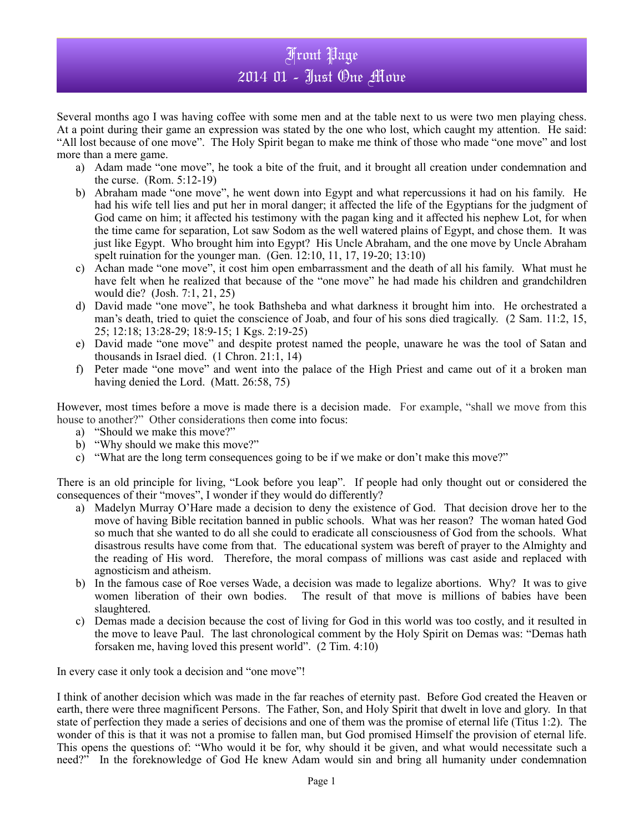## Front Page 2014 01 - Just One Move

Several months ago I was having coffee with some men and at the table next to us were two men playing chess. At a point during their game an expression was stated by the one who lost, which caught my attention. He said: "All lost because of one move". The Holy Spirit began to make me think of those who made "one move" and lost more than a mere game.

- a) Adam made "one move", he took a bite of the fruit, and it brought all creation under condemnation and the curse. (Rom. 5:12-19)
- b) Abraham made "one move", he went down into Egypt and what repercussions it had on his family. He had his wife tell lies and put her in moral danger; it affected the life of the Egyptians for the judgment of God came on him; it affected his testimony with the pagan king and it affected his nephew Lot, for when the time came for separation, Lot saw Sodom as the well watered plains of Egypt, and chose them. It was just like Egypt. Who brought him into Egypt? His Uncle Abraham, and the one move by Uncle Abraham spelt ruination for the younger man. (Gen. 12:10, 11, 17, 19-20; 13:10)
- c) Achan made "one move", it cost him open embarrassment and the death of all his family. What must he have felt when he realized that because of the "one move" he had made his children and grandchildren would die? (Josh. 7:1, 21, 25)
- d) David made "one move", he took Bathsheba and what darkness it brought him into. He orchestrated a man's death, tried to quiet the conscience of Joab, and four of his sons died tragically. (2 Sam. 11:2, 15, 25; 12:18; 13:28-29; 18:9-15; 1 Kgs. 2:19-25)
- e) David made "one move" and despite protest named the people, unaware he was the tool of Satan and thousands in Israel died. (1 Chron. 21:1, 14)
- f) Peter made "one move" and went into the palace of the High Priest and came out of it a broken man having denied the Lord. (Matt. 26:58, 75)

However, most times before a move is made there is a decision made. For example, "shall we move from this house to another?" Other considerations then come into focus:

- a) "Should we make this move?"
- b) "Why should we make this move?"
- c) "What are the long term consequences going to be if we make or don't make this move?"

There is an old principle for living, "Look before you leap". If people had only thought out or considered the consequences of their "moves", I wonder if they would do differently?

- a) Madelyn Murray O'Hare made a decision to deny the existence of God. That decision drove her to the move of having Bible recitation banned in public schools. What was her reason? The woman hated God so much that she wanted to do all she could to eradicate all consciousness of God from the schools. What disastrous results have come from that. The educational system was bereft of prayer to the Almighty and the reading of His word. Therefore, the moral compass of millions was cast aside and replaced with agnosticism and atheism.
- b) In the famous case of Roe verses Wade, a decision was made to legalize abortions. Why? It was to give women liberation of their own bodies. The result of that move is millions of babies have been slaughtered.
- c) Demas made a decision because the cost of living for God in this world was too costly, and it resulted in the move to leave Paul. The last chronological comment by the Holy Spirit on Demas was: "Demas hath forsaken me, having loved this present world". (2 Tim. 4:10)

In every case it only took a decision and "one move"!

I think of another decision which was made in the far reaches of eternity past. Before God created the Heaven or earth, there were three magnificent Persons. The Father, Son, and Holy Spirit that dwelt in love and glory. In that state of perfection they made a series of decisions and one of them was the promise of eternal life (Titus 1:2). The wonder of this is that it was not a promise to fallen man, but God promised Himself the provision of eternal life. This opens the questions of: "Who would it be for, why should it be given, and what would necessitate such a need?" In the foreknowledge of God He knew Adam would sin and bring all humanity under condemnation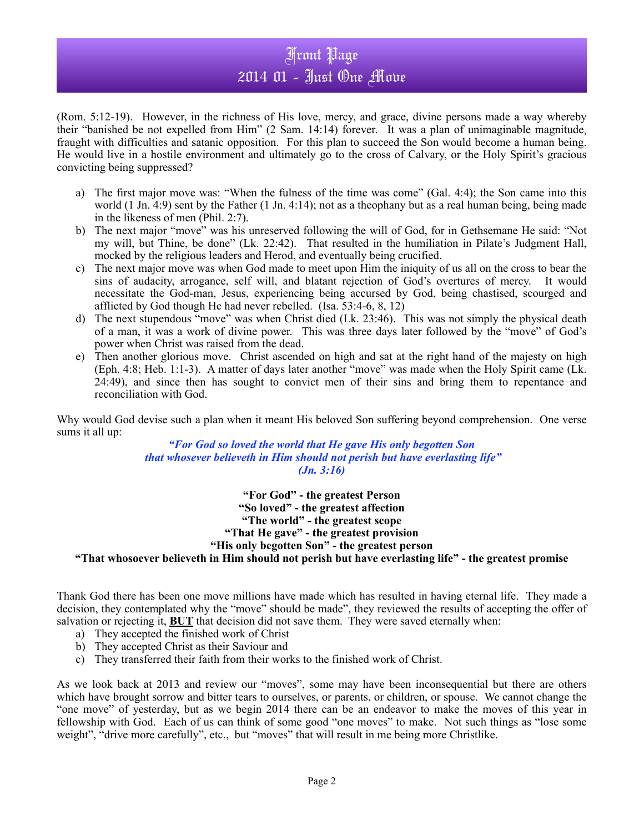## Front Page 2014 01 - Just One Move

(Rom. 5:12-19). However, in the richness of His love, mercy, and grace, divine persons made a way whereby their "banished be not expelled from Him" (2 Sam. 14:14) forever. It was a plan of unimaginable magnitude, fraught with difficulties and satanic opposition. For this plan to succeed the Son would become a human being. He would live in a hostile environment and ultimately go to the cross of Calvary, or the Holy Spirit's gracious convicting being suppressed?

- a) The first major move was: "When the fulness of the time was come" (Gal. 4:4); the Son came into this world  $(1 \text{ Jn. } 4:9)$  sent by the Father  $(1 \text{ Jn. } 4:14)$ ; not as a theophany but as a real human being, being made in the likeness of men (Phil. 2:7).
- b) The next major "move" was his unreserved following the will of God, for in Gethsemane He said: "Not my will, but Thine, be done" (Lk. 22:42). That resulted in the humiliation in Pilate's Judgment Hall, mocked by the religious leaders and Herod, and eventually being crucified.
- c) The next major move was when God made to meet upon Him the iniquity of us all on the cross to bear the sins of audacity, arrogance, self will, and blatant rejection of God's overtures of mercy. It would necessitate the God-man, Jesus, experiencing being accursed by God, being chastised, scourged and afflicted by God though He had never rebelled. (Isa. 53:4-6, 8, 12)
- d) The next stupendous "move" was when Christ died (Lk. 23:46). This was not simply the physical death of a man, it was a work of divine power. This was three days later followed by the "move" of God's power when Christ was raised from the dead.
- e) Then another glorious move. Christ ascended on high and sat at the right hand of the majesty on high (Eph. 4:8; Heb. 1:1-3). A matter of days later another "move" was made when the Holy Spirit came (Lk. 24:49), and since then has sought to convict men of their sins and bring them to repentance and reconciliation with God.

Why would God devise such a plan when it meant His beloved Son suffering beyond comprehension. One verse sums it all up:

*"For God so loved the world that He gave His only begotten Son that whosever believeth in Him should not perish but have everlasting life" (Jn. 3:16)*

> **"For God" - the greatest Person "So loved" - the greatest affection "The world" - the greatest scope "That He gave" - the greatest provision "His only begotten Son" - the greatest person**

## **"That whosoever believeth in Him should not perish but have everlasting life" - the greatest promise**

Thank God there has been one move millions have made which has resulted in having eternal life. They made a decision, they contemplated why the "move" should be made", they reviewed the results of accepting the offer of salvation or rejecting it, **BUT** that decision did not save them. They were saved eternally when:

- a) They accepted the finished work of Christ
- b) They accepted Christ as their Saviour and
- c) They transferred their faith from their works to the finished work of Christ.

As we look back at 2013 and review our "moves", some may have been inconsequential but there are others which have brought sorrow and bitter tears to ourselves, or parents, or children, or spouse. We cannot change the "one move" of yesterday, but as we begin 2014 there can be an endeavor to make the moves of this year in fellowship with God. Each of us can think of some good "one moves" to make. Not such things as "lose some weight", "drive more carefully", etc., but "moves" that will result in me being more Christlike.